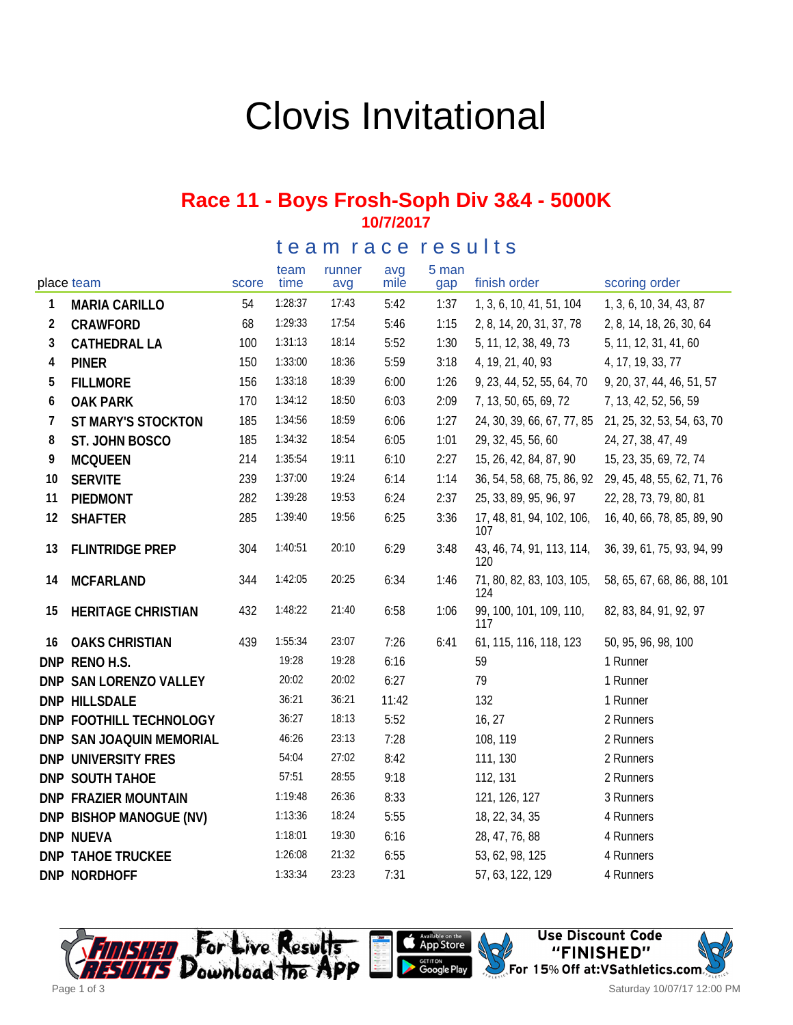# Clovis Invitational

#### **Race 11 - Boys Frosh-Soph Div 3&4 - 5000K 10/7/2017**

#### team race results

| place team     |                             | score | team<br>time | runner<br>avg | avg<br>mile | 5 man<br>gap | finish order                     | scoring order               |
|----------------|-----------------------------|-------|--------------|---------------|-------------|--------------|----------------------------------|-----------------------------|
| 1              | <b>MARIA CARILLO</b>        | 54    | 1:28:37      | 17:43         | 5:42        | 1:37         | 1, 3, 6, 10, 41, 51, 104         | 1, 3, 6, 10, 34, 43, 87     |
| $\overline{2}$ | CRAWFORD                    | 68    | 1:29:33      | 17:54         | 5:46        | 1:15         | 2, 8, 14, 20, 31, 37, 78         | 2, 8, 14, 18, 26, 30, 64    |
| 3              | <b>CATHEDRAL LA</b>         | 100   | 1:31:13      | 18:14         | 5:52        | 1:30         | 5, 11, 12, 38, 49, 73            | 5, 11, 12, 31, 41, 60       |
| 4              | <b>PINER</b>                | 150   | 1:33:00      | 18:36         | 5:59        | 3:18         | 4, 19, 21, 40, 93                | 4, 17, 19, 33, 77           |
| 5              | <b>FILLMORE</b>             | 156   | 1:33:18      | 18:39         | 6:00        | 1:26         | 9, 23, 44, 52, 55, 64, 70        | 9, 20, 37, 44, 46, 51, 57   |
| 6              | <b>OAK PARK</b>             | 170   | 1:34:12      | 18:50         | 6:03        | 2:09         | 7, 13, 50, 65, 69, 72            | 7, 13, 42, 52, 56, 59       |
| 7              | ST MARY'S STOCKTON          | 185   | 1:34:56      | 18:59         | 6:06        | 1:27         | 24, 30, 39, 66, 67, 77, 85       | 21, 25, 32, 53, 54, 63, 70  |
| 8              | ST. JOHN BOSCO              | 185   | 1:34:32      | 18:54         | 6:05        | 1:01         | 29, 32, 45, 56, 60               | 24, 27, 38, 47, 49          |
| 9              | <b>MCQUEEN</b>              | 214   | 1:35:54      | 19:11         | 6:10        | 2:27         | 15, 26, 42, 84, 87, 90           | 15, 23, 35, 69, 72, 74      |
| 10             | <b>SERVITE</b>              | 239   | 1:37:00      | 19:24         | 6:14        | 1:14         | 36, 54, 58, 68, 75, 86, 92       | 29, 45, 48, 55, 62, 71, 76  |
| 11             | PIEDMONT                    | 282   | 1:39:28      | 19:53         | 6:24        | 2:37         | 25, 33, 89, 95, 96, 97           | 22, 28, 73, 79, 80, 81      |
| 12             | <b>SHAFTER</b>              | 285   | 1:39:40      | 19:56         | 6:25        | 3:36         | 17, 48, 81, 94, 102, 106,<br>107 | 16, 40, 66, 78, 85, 89, 90  |
| 13             | <b>FLINTRIDGE PREP</b>      | 304   | 1:40:51      | 20:10         | 6:29        | 3:48         | 43, 46, 74, 91, 113, 114,<br>120 | 36, 39, 61, 75, 93, 94, 99  |
| 14             | <b>MCFARLAND</b>            | 344   | 1:42:05      | 20:25         | 6:34        | 1:46         | 71, 80, 82, 83, 103, 105,<br>124 | 58, 65, 67, 68, 86, 88, 101 |
| 15             | <b>HERITAGE CHRISTIAN</b>   | 432   | 1:48:22      | 21:40         | 6:58        | 1:06         | 99, 100, 101, 109, 110,<br>117   | 82, 83, 84, 91, 92, 97      |
| 16             | <b>OAKS CHRISTIAN</b>       | 439   | 1:55:34      | 23:07         | 7:26        | 6:41         | 61, 115, 116, 118, 123           | 50, 95, 96, 98, 100         |
|                | DNP RENOH.S.                |       | 19:28        | 19:28         | 6:16        |              | 59                               | 1 Runner                    |
|                | DNP SAN LORENZO VALLEY      |       | 20:02        | 20:02         | 6:27        |              | 79                               | 1 Runner                    |
|                | DNP HILLSDALE               |       | 36:21        | 36:21         | 11:42       |              | 132                              | 1 Runner                    |
|                | DNP FOOTHILL TECHNOLOGY     |       | 36:27        | 18:13         | 5:52        |              | 16, 27                           | 2 Runners                   |
|                | DNP SAN JOAQUIN MEMORIAL    |       | 46:26        | 23:13         | 7:28        |              | 108, 119                         | 2 Runners                   |
|                | DNP UNIVERSITY FRES         |       | 54:04        | 27:02         | 8:42        |              | 111, 130                         | 2 Runners                   |
|                | DNP SOUTH TAHOE             |       | 57:51        | 28:55         | 9:18        |              | 112, 131                         | 2 Runners                   |
|                | <b>DNP FRAZIER MOUNTAIN</b> |       | 1:19:48      | 26:36         | 8:33        |              | 121, 126, 127                    | 3 Runners                   |
|                | DNP BISHOP MANOGUE (NV)     |       | 1:13:36      | 18:24         | 5:55        |              | 18, 22, 34, 35                   | 4 Runners                   |
|                | DNP NUEVA                   |       | 1:18:01      | 19:30         | 6:16        |              | 28, 47, 76, 88                   | 4 Runners                   |
|                | <b>DNP TAHOE TRUCKEE</b>    |       | 1:26:08      | 21:32         | 6:55        |              | 53, 62, 98, 125                  | 4 Runners                   |
|                | DNP NORDHOFF                |       | 1:33:34      | 23:23         | 7:31        |              | 57, 63, 122, 129                 | 4 Runners                   |





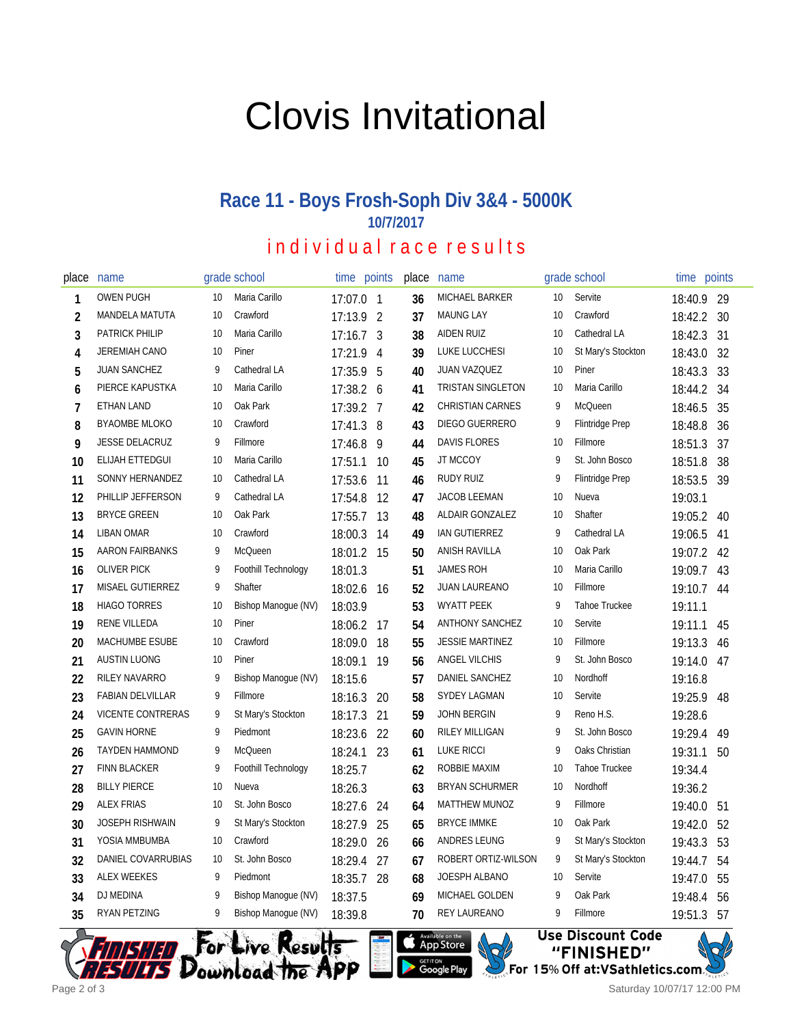# Clovis Invitational

## **Race 11 - Boys Frosh-Soph Div 3&4 - 5000K 10/7/2017**

## individual race results

| place          | name                     |    | grade school               | time points |                | place | name                    |                 | grade school           | time    | points |
|----------------|--------------------------|----|----------------------------|-------------|----------------|-------|-------------------------|-----------------|------------------------|---------|--------|
| 1              | <b>OWEN PUGH</b>         | 10 | Maria Carillo              | 17:07.0 1   |                | 36    | MICHAEL BARKER          | 10 <sup>°</sup> | Servite                | 18:40.9 | 29     |
| $\overline{2}$ | MANDELA MATUTA           | 10 | Crawford                   | 17:13.9 2   |                | 37    | <b>MAUNG LAY</b>        | 10              | Crawford               | 18:42.2 | 30     |
| 3              | <b>PATRICK PHILIP</b>    | 10 | Maria Carillo              | $17:16.7$ 3 |                | 38    | <b>AIDEN RUIZ</b>       | 10              | Cathedral LA           | 18:42.3 | 31     |
| 4              | JEREMIAH CANO            | 10 | Piner                      | 17:21.9     | $\overline{4}$ | 39    | LUKE LUCCHESI           | 10              | St Mary's Stockton     | 18:43.0 | 32     |
| 5              | <b>JUAN SANCHEZ</b>      | 9  | Cathedral LA               | 17:35.9 5   |                | 40    | JUAN VAZQUEZ            | 10              | Piner                  | 18:43.3 | 33     |
| 6              | PIERCE KAPUSTKA          | 10 | Maria Carillo              | 17:38.2 6   |                | 41    | TRISTAN SINGLETON       | 10              | Maria Carillo          | 18:44.2 | 34     |
| $\overline{7}$ | ETHAN LAND               | 10 | Oak Park                   | 17:39.2 7   |                | 42    | <b>CHRISTIAN CARNES</b> | 9               | McQueen                | 18:46.5 | 35     |
| 8              | <b>BYAOMBE MLOKO</b>     | 10 | Crawford                   | 17:41.3 8   |                | 43    | DIEGO GUERRERO          | 9               | <b>Flintridge Prep</b> | 18:48.8 | 36     |
| 9              | <b>JESSE DELACRUZ</b>    | 9  | Fillmore                   | 17:46.8     | - 9            | 44    | <b>DAVIS FLORES</b>     | 10              | Fillmore               | 18:51.3 | 37     |
| 10             | ELIJAH ETTEDGUI          | 10 | Maria Carillo              | 17:51.1     | 10             | 45    | JT MCCOY                | 9               | St. John Bosco         | 18:51.8 | 38     |
| 11             | SONNY HERNANDEZ          | 10 | Cathedral LA               | 17:53.6     | 11             | 46    | RUDY RUIZ               | 9               | <b>Flintridge Prep</b> | 18:53.5 | 39     |
| 12             | PHILLIP JEFFERSON        | 9  | Cathedral LA               | 17:54.8     | 12             | 47    | <b>JACOB LEEMAN</b>     | 10              | Nueva                  | 19:03.1 |        |
| 13             | <b>BRYCE GREEN</b>       | 10 | Oak Park                   | 17:55.7     | 13             | 48    | ALDAIR GONZALEZ         | 10              | Shafter                | 19:05.2 | 40     |
| 14             | <b>LIBAN OMAR</b>        | 10 | Crawford                   | 18:00.3     | 14             | 49    | IAN GUTIERREZ           | 9               | Cathedral LA           | 19:06.5 | 41     |
| 15             | <b>AARON FAIRBANKS</b>   | 9  | McQueen                    | 18:01.2     | - 15           | 50    | ANISH RAVILLA           | 10              | Oak Park               | 19:07.2 | 42     |
| 16             | <b>OLIVER PICK</b>       | 9  | Foothill Technology        | 18:01.3     |                | 51    | <b>JAMES ROH</b>        | 10              | Maria Carillo          | 19:09.7 | 43     |
| 17             | MISAEL GUTIERREZ         | 9  | Shafter                    | 18:02.6     | 16             | 52    | JUAN LAUREANO           | 10              | Fillmore               | 19:10.7 | 44     |
| 18             | <b>HIAGO TORRES</b>      | 10 | Bishop Manogue (NV)        | 18:03.9     |                | 53    | <b>WYATT PEEK</b>       | 9               | Tahoe Truckee          | 19:11.1 |        |
| 19             | RENE VILLEDA             | 10 | Piner                      | 18:06.2     | 17             | 54    | <b>ANTHONY SANCHEZ</b>  | 10              | Servite                | 19:11.1 | 45     |
| 20             | MACHUMBE ESUBE           | 10 | Crawford                   | 18:09.0     | 18             | 55    | <b>JESSIE MARTINEZ</b>  | 10              | Fillmore               | 19:13.3 | 46     |
| 21             | <b>AUSTIN LUONG</b>      | 10 | Piner                      | 18:09.1     | 19             | 56    | <b>ANGEL VILCHIS</b>    | 9               | St. John Bosco         | 19:14.0 | 47     |
| 22             | <b>RILEY NAVARRO</b>     | 9  | Bishop Manogue (NV)        | 18:15.6     |                | 57    | DANIEL SANCHEZ          | 10              | Nordhoff               | 19:16.8 |        |
| 23             | <b>FABIAN DELVILLAR</b>  | 9  | Fillmore                   | 18:16.3     | 20             | 58    | SYDEY LAGMAN            | 10              | Servite                | 19:25.9 | 48     |
| 24             | <b>VICENTE CONTRERAS</b> | 9  | St Mary's Stockton         | 18:17.3     | 21             | 59    | <b>JOHN BERGIN</b>      | 9               | Reno H.S.              | 19:28.6 |        |
| 25             | <b>GAVIN HORNE</b>       | 9  | Piedmont                   | 18:23.6     | 22             | 60    | <b>RILEY MILLIGAN</b>   | 9               | St. John Bosco         | 19:29.4 | 49     |
| 26             | <b>TAYDEN HAMMOND</b>    | 9  | McQueen                    | 18:24.1     | 23             | 61    | <b>LUKE RICCI</b>       | 9               | Oaks Christian         | 19:31.1 | 50     |
| 27             | <b>FINN BLACKER</b>      | 9  | <b>Foothill Technology</b> | 18:25.7     |                | 62    | ROBBIE MAXIM            | 10              | Tahoe Truckee          | 19:34.4 |        |
| 28             | <b>BILLY PIERCE</b>      | 10 | Nueva                      | 18:26.3     |                | 63    | <b>BRYAN SCHURMER</b>   | 10              | Nordhoff               | 19:36.2 |        |
| 29             | <b>ALEX FRIAS</b>        | 10 | St. John Bosco             | 18:27.6     | 24             | 64    | <b>MATTHEW MUNOZ</b>    | 9               | Fillmore               | 19:40.0 | 51     |
| 30             | <b>JOSEPH RISHWAIN</b>   | 9  | St Mary's Stockton         | 18:27.9     | 25             | 65    | <b>BRYCE IMMKE</b>      | 10              | Oak Park               | 19:42.0 | 52     |
| 31             | YOSIA MMBUMBA            | 10 | Crawford                   | 18:29.0     | 26             | 66    | ANDRES LEUNG            | 9               | St Mary's Stockton     | 19:43.3 | 53     |
| 32             | DANIEL COVARRUBIAS       | 10 | St. John Bosco             | 18:29.4     | 27             | 67    | ROBERT ORTIZ-WILSON     | 9               | St Mary's Stockton     | 19:44.7 | 54     |
| 33             | <b>ALEX WEEKES</b>       | 9  | Piedmont                   | 18:35.7     | 28             | 68    | JOESPH ALBANO           | 10              | Servite                | 19:47.0 | 55     |
| 34             | DJ MEDINA                | 9  | Bishop Manogue (NV)        | 18:37.5     |                | 69    | MICHAEL GOLDEN          | 9               | Oak Park               | 19:48.4 | 56     |
| 35             | <b>RYAN PETZING</b>      | 9  | Bishop Manogue (NV)        | 18:39.8     |                | 70    | REY LAUREANO            | 9               | Fillmore               | 19:51.3 | 57     |
|                |                          |    |                            |             |                |       |                         |                 |                        |         |        |

App Store

**GET IT ON**<br>Google Play



"FINISHED" For 15% Off at:VSathletics.com.  $\,$ 

**Use Discount Code** 



Saturday 10/07/17 12:00 PM